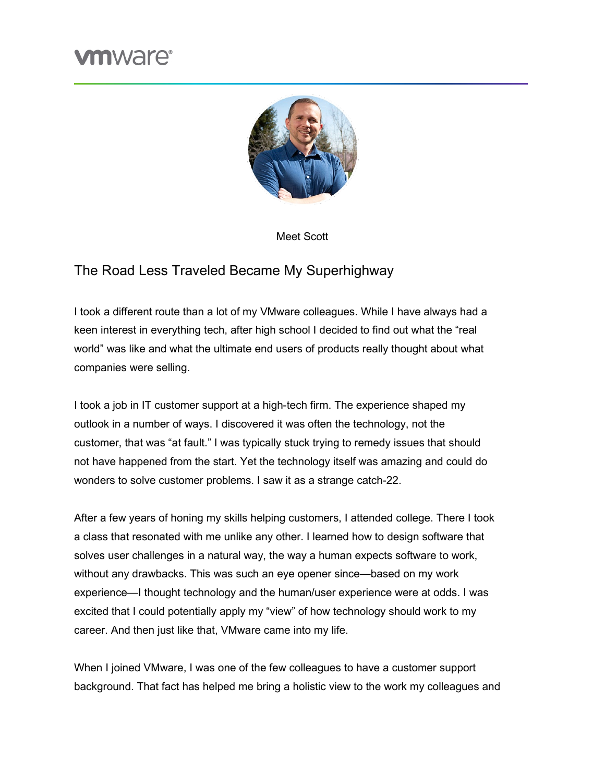## **m**ware<sup>®</sup>



Meet Scott

## The Road Less Traveled Became My Superhighway

I took a different route than a lot of my VMware colleagues. While I have always had a keen interest in everything tech, after high school I decided to find out what the "real world" was like and what the ultimate end users of products really thought about what companies were selling.

I took a job in IT customer support at a high-tech firm. The experience shaped my outlook in a number of ways. I discovered it was often the technology, not the customer, that was "at fault." I was typically stuck trying to remedy issues that should not have happened from the start. Yet the technology itself was amazing and could do wonders to solve customer problems. I saw it as a strange catch-22.

After a few years of honing my skills helping customers, I attended college. There I took a class that resonated with me unlike any other. I learned how to design software that solves user challenges in a natural way, the way a human expects software to work, without any drawbacks. This was such an eye opener since—based on my work experience—I thought technology and the human/user experience were at odds. I was excited that I could potentially apply my "view" of how technology should work to my career. And then just like that, VMware came into my life.

When I joined VMware, I was one of the few colleagues to have a customer support background. That fact has helped me bring a holistic view to the work my colleagues and